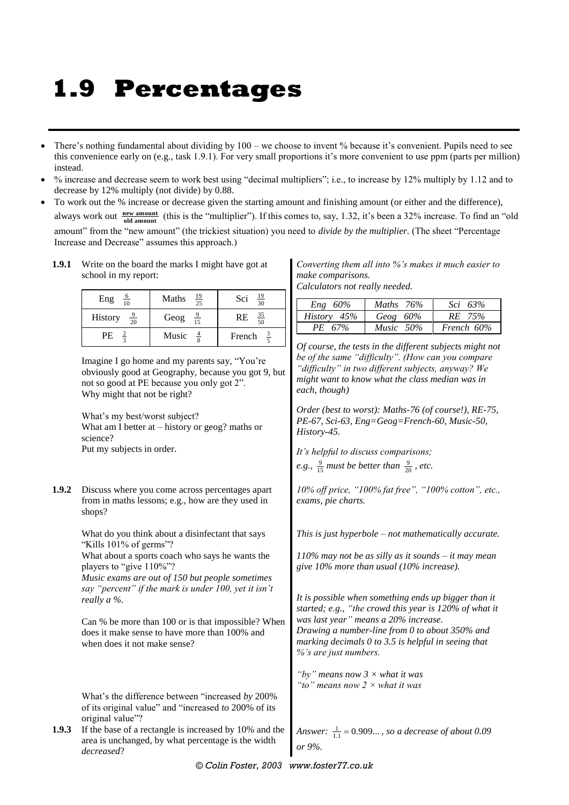## **1.9 Percentages**

- There's nothing fundamental about dividing by 100 we choose to invent % because it's convenient. Pupils need to see this convenience early on (e.g., task 1.9.1). For very small proportions it's more convenient to use ppm (parts per million) instead.
- % increase and decrease seem to work best using "decimal multipliers"; i.e., to increase by 12% multiply by 1.12 and to decrease by 12% multiply (not divide) by 0.88.
- To work out the % increase or decrease given the starting amount and finishing amount (or either and the difference), always work out  $\frac{new amount}{old amount}$  (this is the "multiplier"). If this comes to, say, 1.32, it's been a 32% increase. To find an "old amount" from the "new amount" (the trickiest situation) you need to *divide by the multiplier.* (The sheet "Percentage Increase and Decrease" assumes this approach.)
	- **1.9.1** Write on the board the marks I might have got at school in my report:

| $\frac{6}{10}$<br>Eng     | $\frac{19}{25}$<br>Maths | $\frac{19}{30}$<br>Sci |
|---------------------------|--------------------------|------------------------|
| History<br>$\frac{9}{20}$ | Geog $\frac{9}{15}$      | $\frac{35}{50}$<br>RE  |
| PE                        | Music                    | French                 |

Imagine I go home and my parents say, "You're obviously good at Geography, because you got 9, but not so good at PE because you only got 2". Why might that not be right?

What's my best/worst subject? What am I better at – history or geog? maths or science? Put my subjects in order.

**1.9.2** Discuss where you come across percentages apart from in maths lessons; e.g., how are they used in shops?

> What do you think about a disinfectant that says "Kills 101% of germs"?

What about a sports coach who says he wants the players to "give 110%"?

*Music exams are out of 150 but people sometimes say "percent" if the mark is under 100, yet it isn't really a %.*

Can % be more than 100 or is that impossible? When does it make sense to have more than 100% and when does it not make sense?

What's the difference between "increased *by* 200% of its original value" and "increased *to* 200% of its original value"?

**1.9.3** If the base of a rectangle is increased by 10% and the area is unchanged, by what percentage is the width *decreased*?

*Converting them all into %'s makes it much easier to make comparisons.*

*Calculators not really needed.*

| $Eng 60\%$  | Maths $76%$  | Sci 63%    |
|-------------|--------------|------------|
| History 45% | Geog $60\%$  | RE 75%     |
| PE 67%      | Music $50\%$ | French 60% |

*Of course, the tests in the different subjects might not be of the same "difficulty". (How can you compare "difficulty" in two different subjects, anyway? We might want to know what the class median was in each, though)*

*Order (best to worst): Maths-76 (of course!), RE-75, PE-67, Sci-63, Eng=Geog=French-60, Music-50, History-45.*

*It's helpful to discuss comparisons; e.g.,*  $\frac{9}{15}$  *must be better than*  $\frac{9}{20}$ *, etc.* 

*10% off price, "100% fat free", "100% cotton", etc., exams, pie charts.*

*This is just hyperbole – not mathematically accurate.*

*110% may not be as silly as it sounds – it may mean give 10% more than usual (10% increase).*

*It is possible when something ends up bigger than it started; e.g., "the crowd this year is 120% of what it was last year" means a 20% increase. Drawing a number-line from 0 to about 350% and marking decimals 0 to 3.5 is helpful in seeing that %'s are just numbers.*

*"by" means now 3 × what it was "to" means now 2 × what it was*

*Answer*:  $\frac{1}{1.1} = 0.909...$ , so a decrease of about 0.09 *or 9%.*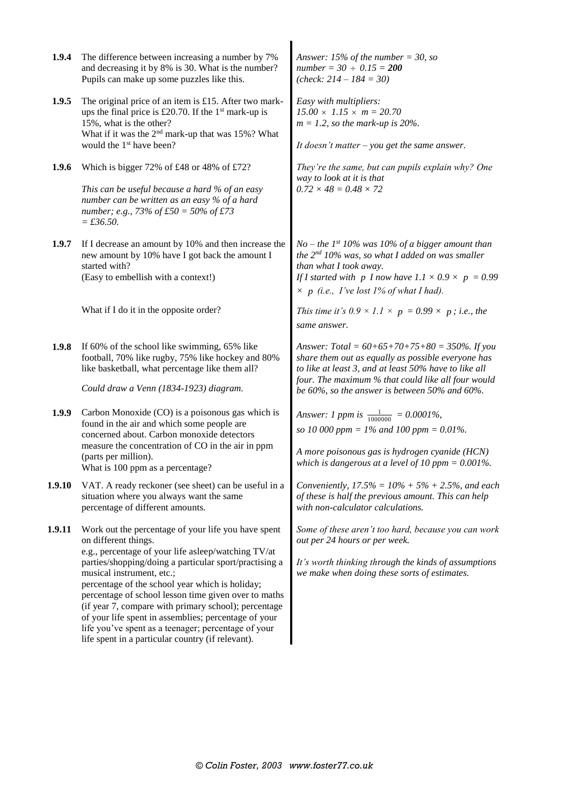| 1.9.4  | The difference between increasing a number by 7%<br>and decreasing it by 8% is 30. What is the number?<br>Pupils can make up some puzzles like this.                                                                                                                                                                                                                                                                                                                                                                                                             | Answer: 15% of the number = 30, so<br>$number = 30 \div 0.15 = 200$<br>( <i>check</i> : $214 - 184 = 30$ )                                                                                                                                                                                                                             |  |  |  |  |
|--------|------------------------------------------------------------------------------------------------------------------------------------------------------------------------------------------------------------------------------------------------------------------------------------------------------------------------------------------------------------------------------------------------------------------------------------------------------------------------------------------------------------------------------------------------------------------|----------------------------------------------------------------------------------------------------------------------------------------------------------------------------------------------------------------------------------------------------------------------------------------------------------------------------------------|--|--|--|--|
| 1.9.5  | The original price of an item is £15. After two mark-<br>ups the final price is £20.70. If the $1st$ mark-up is<br>15%, what is the other?<br>What if it was the 2 <sup>nd</sup> mark-up that was 15%? What<br>would the 1 <sup>st</sup> have been?                                                                                                                                                                                                                                                                                                              | Easy with multipliers:<br>$15.00 \times 1.15 \times m = 20.70$<br>$m = 1.2$ , so the mark-up is 20%.<br>It doesn't matter $-$ you get the same answer.                                                                                                                                                                                 |  |  |  |  |
| 1.9.6  | Which is bigger 72% of £48 or 48% of £72?<br>This can be useful because a hard % of an easy<br>number can be written as an easy % of a hard<br>number; e.g., 73% of £50 = 50% of £73<br>$= £36.50.$                                                                                                                                                                                                                                                                                                                                                              | They're the same, but can pupils explain why? One<br>way to look at it is that<br>$0.72 \times 48 = 0.48 \times 72$                                                                                                                                                                                                                    |  |  |  |  |
| 1.9.7  | If I decrease an amount by 10% and then increase the<br>new amount by 10% have I got back the amount I<br>started with?<br>(Easy to embellish with a context!)<br>What if I do it in the opposite order?                                                                                                                                                                                                                                                                                                                                                         | No – the 1st 10% was 10% of a bigger amount than<br>the 2 <sup>nd</sup> 10% was, so what I added on was smaller<br>than what I took away.<br>If I started with p I now have $1.1 \times 0.9 \times p = 0.99$<br>$\times p$ (i.e., I've lost 1% of what I had).<br>This time it's $0.9 \times 1.1 \times p = 0.99 \times p$ ; i.e., the |  |  |  |  |
|        |                                                                                                                                                                                                                                                                                                                                                                                                                                                                                                                                                                  | same answer.                                                                                                                                                                                                                                                                                                                           |  |  |  |  |
| 1.9.8  | If 60% of the school like swimming, 65% like<br>football, 70% like rugby, 75% like hockey and 80%<br>like basketball, what percentage like them all?<br>Could draw a Venn (1834-1923) diagram.                                                                                                                                                                                                                                                                                                                                                                   | Answer: Total = $60+65+70+75+80 = 350\%$ . If you<br>share them out as equally as possible everyone has<br>to like at least 3, and at least 50% have to like all<br>four. The maximum % that could like all four would<br>be 60%, so the answer is between 50% and 60%.                                                                |  |  |  |  |
| 1.9.9  | Carbon Monoxide (CO) is a poisonous gas which is<br>found in the air and which some people are<br>concerned about. Carbon monoxide detectors<br>measure the concentration of CO in the air in ppm<br>(parts per million).<br>What is 100 ppm as a percentage?                                                                                                                                                                                                                                                                                                    | Answer: 1 ppm is $\frac{1}{1000000} = 0.0001\%$ ,<br>so 10 000 ppm = $1\%$ and 100 ppm = 0.01%.<br>A more poisonous gas is hydrogen cyanide (HCN)<br>which is dangerous at a level of 10 ppm = $0.001\%$ .                                                                                                                             |  |  |  |  |
| 1.9.10 | VAT. A ready reckoner (see sheet) can be useful in a<br>situation where you always want the same<br>percentage of different amounts.                                                                                                                                                                                                                                                                                                                                                                                                                             | Conveniently, $17.5\% = 10\% + 5\% + 2.5\%$ , and each<br>of these is half the previous amount. This can help<br>with non-calculator calculations.                                                                                                                                                                                     |  |  |  |  |
| 1.9.11 | Work out the percentage of your life you have spent<br>on different things.<br>e.g., percentage of your life asleep/watching TV/at<br>parties/shopping/doing a particular sport/practising a<br>musical instrument, etc.;<br>percentage of the school year which is holiday;<br>percentage of school lesson time given over to maths<br>(if year 7, compare with primary school); percentage<br>of your life spent in assemblies; percentage of your<br>life you've spent as a teenager; percentage of your<br>life spent in a particular country (if relevant). | Some of these aren't too hard, because you can work<br>out per 24 hours or per week.<br>It's worth thinking through the kinds of assumptions<br>we make when doing these sorts of estimates.                                                                                                                                           |  |  |  |  |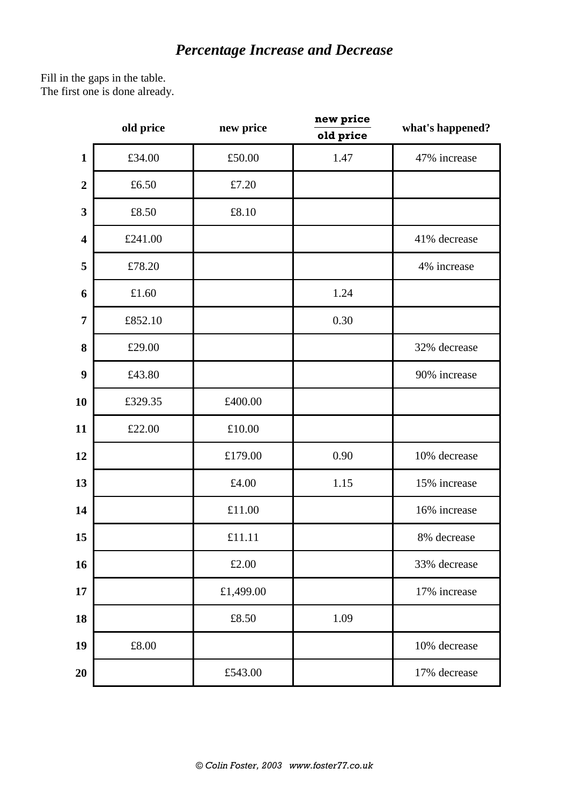## *Percentage Increase and Decrease*

Fill in the gaps in the table. The first one is done already.

| old price               |         | new price | new price<br>old price | what's happened? |  |  |  |  |
|-------------------------|---------|-----------|------------------------|------------------|--|--|--|--|
| $\mathbf{1}$            | £34.00  | £50.00    | 1.47                   | 47% increase     |  |  |  |  |
| $\boldsymbol{2}$        | £6.50   | £7.20     |                        |                  |  |  |  |  |
| $\mathbf{3}$            | £8.50   | £8.10     |                        |                  |  |  |  |  |
| $\overline{\mathbf{4}}$ | £241.00 |           |                        | 41% decrease     |  |  |  |  |
| 5                       | £78.20  |           |                        | 4% increase      |  |  |  |  |
| 6                       | £1.60   |           | 1.24                   |                  |  |  |  |  |
| $\overline{7}$          | £852.10 |           | 0.30                   |                  |  |  |  |  |
| 8                       | £29.00  |           |                        | 32% decrease     |  |  |  |  |
| 9                       | £43.80  |           |                        | 90% increase     |  |  |  |  |
| 10                      | £329.35 | £400.00   |                        |                  |  |  |  |  |
| 11                      | £22.00  | £10.00    |                        |                  |  |  |  |  |
| 12                      |         | £179.00   | 0.90                   | 10% decrease     |  |  |  |  |
| 13                      |         | £4.00     | 1.15                   | 15% increase     |  |  |  |  |
| 14                      |         | £11.00    |                        | 16% increase     |  |  |  |  |
| 15                      |         | £11.11    |                        | 8% decrease      |  |  |  |  |
| 16                      |         | £2.00     |                        | 33% decrease     |  |  |  |  |
| 17                      |         | £1,499.00 |                        | 17% increase     |  |  |  |  |
| 18                      |         | £8.50     | 1.09                   |                  |  |  |  |  |
| 19                      | £8.00   |           |                        | 10% decrease     |  |  |  |  |
| 20                      |         | £543.00   |                        | 17% decrease     |  |  |  |  |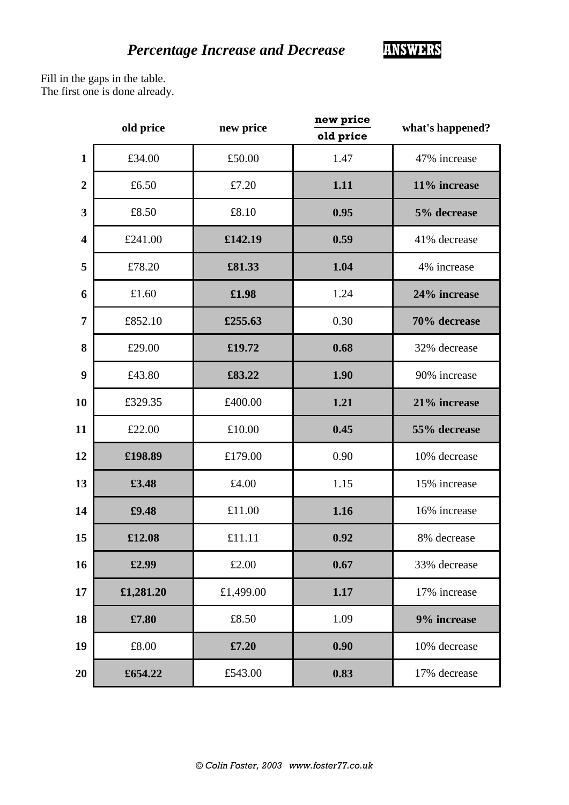Fill in the gaps in the table. The first one is done already.

|                         | old price | new price | new price<br>old price | what's happened? |  |  |  |
|-------------------------|-----------|-----------|------------------------|------------------|--|--|--|
| $\mathbf{1}$            | £34.00    | £50.00    | 1.47                   | 47% increase     |  |  |  |
| $\overline{2}$          | £6.50     | £7.20     | 1.11                   | 11% increase     |  |  |  |
| $\overline{\mathbf{3}}$ | £8.50     | £8.10     | 0.95                   | 5% decrease      |  |  |  |
| $\overline{\mathbf{4}}$ | £241.00   | £142.19   | 0.59                   | 41% decrease     |  |  |  |
| 5                       | £78.20    | £81.33    | 1.04                   | 4% increase      |  |  |  |
| 6                       | £1.60     | £1.98     | 1.24                   | 24% increase     |  |  |  |
| $\overline{7}$          | £852.10   | £255.63   | 0.30                   | 70% decrease     |  |  |  |
| 8                       | £29.00    | £19.72    | 0.68                   | 32% decrease     |  |  |  |
| 9                       | £43.80    | £83.22    | 1.90                   | 90% increase     |  |  |  |
| 10                      | £329.35   | £400.00   | 1.21                   | 21% increase     |  |  |  |
| 11                      | £22.00    | £10.00    | 0.45                   | 55% decrease     |  |  |  |
| 12                      | £198.89   | £179.00   | 0.90                   | 10% decrease     |  |  |  |
| 13                      | £3.48     | £4.00     | 1.15                   | 15% increase     |  |  |  |
| 14                      | £9.48     | £11.00    | 1.16                   | 16% increase     |  |  |  |
| 15                      | £12.08    | £11.11    | 0.92                   | 8% decrease      |  |  |  |
| 16                      | £2.99     | £2.00     | 0.67                   | 33% decrease     |  |  |  |
| 17                      | £1,281.20 | £1,499.00 | 1.17                   | 17% increase     |  |  |  |
| 18                      | £7.80     | £8.50     | 1.09                   | 9% increase      |  |  |  |
| 19                      | £8.00     | £7.20     | 0.90                   | 10% decrease     |  |  |  |
| 20                      | £654.22   | £543.00   | 0.83                   | 17% decrease     |  |  |  |